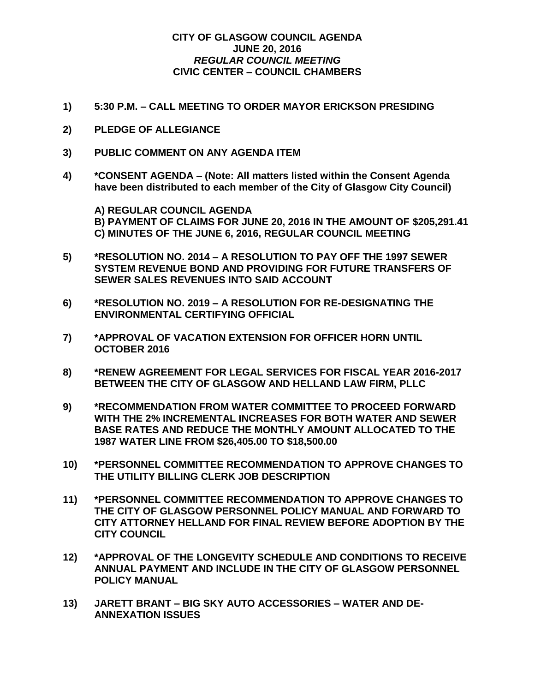## **CITY OF GLASGOW COUNCIL AGENDA JUNE 20, 2016** *REGULAR COUNCIL MEETING* **CIVIC CENTER – COUNCIL CHAMBERS**

- **1) 5:30 P.M. – CALL MEETING TO ORDER MAYOR ERICKSON PRESIDING**
- **2) PLEDGE OF ALLEGIANCE**
- **3) PUBLIC COMMENT ON ANY AGENDA ITEM**
- **4) \*CONSENT AGENDA – (Note: All matters listed within the Consent Agenda have been distributed to each member of the City of Glasgow City Council)**

**A) REGULAR COUNCIL AGENDA B) PAYMENT OF CLAIMS FOR JUNE 20, 2016 IN THE AMOUNT OF \$205,291.41 C) MINUTES OF THE JUNE 6, 2016, REGULAR COUNCIL MEETING**

- **5) \*RESOLUTION NO. 2014 – A RESOLUTION TO PAY OFF THE 1997 SEWER SYSTEM REVENUE BOND AND PROVIDING FOR FUTURE TRANSFERS OF SEWER SALES REVENUES INTO SAID ACCOUNT**
- **6) \*RESOLUTION NO. 2019 – A RESOLUTION FOR RE-DESIGNATING THE ENVIRONMENTAL CERTIFYING OFFICIAL**
- **7) \*APPROVAL OF VACATION EXTENSION FOR OFFICER HORN UNTIL OCTOBER 2016**
- **8) \*RENEW AGREEMENT FOR LEGAL SERVICES FOR FISCAL YEAR 2016-2017 BETWEEN THE CITY OF GLASGOW AND HELLAND LAW FIRM, PLLC**
- **9) \*RECOMMENDATION FROM WATER COMMITTEE TO PROCEED FORWARD WITH THE 2% INCREMENTAL INCREASES FOR BOTH WATER AND SEWER BASE RATES AND REDUCE THE MONTHLY AMOUNT ALLOCATED TO THE 1987 WATER LINE FROM \$26,405.00 TO \$18,500.00**
- **10) \*PERSONNEL COMMITTEE RECOMMENDATION TO APPROVE CHANGES TO THE UTILITY BILLING CLERK JOB DESCRIPTION**
- **11) \*PERSONNEL COMMITTEE RECOMMENDATION TO APPROVE CHANGES TO THE CITY OF GLASGOW PERSONNEL POLICY MANUAL AND FORWARD TO CITY ATTORNEY HELLAND FOR FINAL REVIEW BEFORE ADOPTION BY THE CITY COUNCIL**
- **12) \*APPROVAL OF THE LONGEVITY SCHEDULE AND CONDITIONS TO RECEIVE ANNUAL PAYMENT AND INCLUDE IN THE CITY OF GLASGOW PERSONNEL POLICY MANUAL**
- **13) JARETT BRANT – BIG SKY AUTO ACCESSORIES – WATER AND DE-ANNEXATION ISSUES**